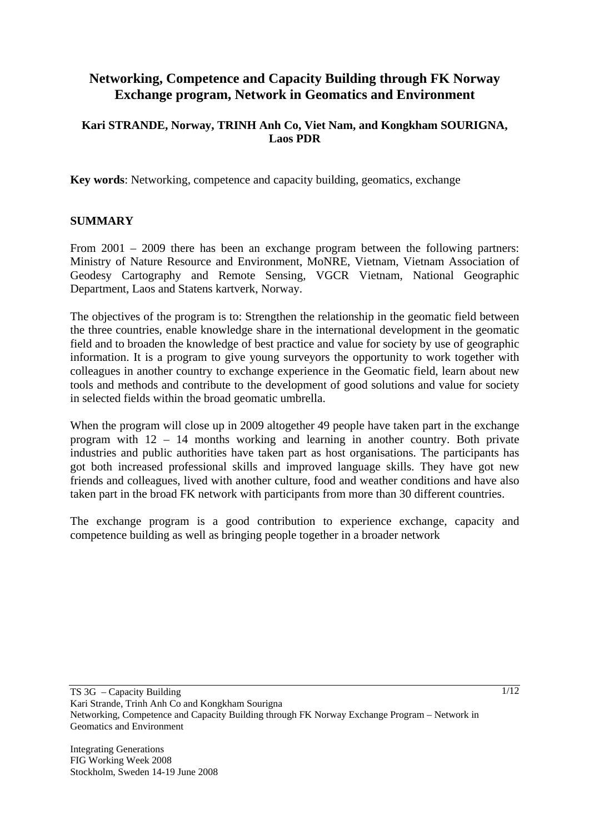# **Networking, Competence and Capacity Building through FK Norway Exchange program, Network in Geomatics and Environment**

## **Kari STRANDE, Norway, TRINH Anh Co, Viet Nam, and Kongkham SOURIGNA, Laos PDR**

**Key words**: Networking, competence and capacity building, geomatics, exchange

### **SUMMARY**

From 2001 – 2009 there has been an exchange program between the following partners: Ministry of Nature Resource and Environment, MoNRE, Vietnam, Vietnam Association of Geodesy Cartography and Remote Sensing, VGCR Vietnam, National Geographic Department, Laos and Statens kartverk, Norway.

The objectives of the program is to: Strengthen the relationship in the geomatic field between the three countries, enable knowledge share in the international development in the geomatic field and to broaden the knowledge of best practice and value for society by use of geographic information. It is a program to give young surveyors the opportunity to work together with colleagues in another country to exchange experience in the Geomatic field, learn about new tools and methods and contribute to the development of good solutions and value for society in selected fields within the broad geomatic umbrella.

When the program will close up in 2009 altogether 49 people have taken part in the exchange program with 12 – 14 months working and learning in another country. Both private industries and public authorities have taken part as host organisations. The participants has got both increased professional skills and improved language skills. They have got new friends and colleagues, lived with another culture, food and weather conditions and have also taken part in the broad FK network with participants from more than 30 different countries.

The exchange program is a good contribution to experience exchange, capacity and competence building as well as bringing people together in a broader network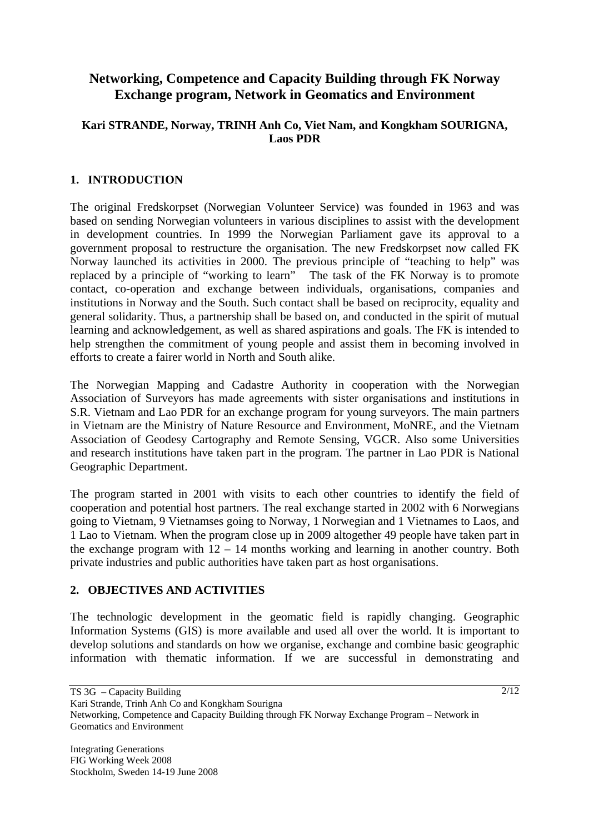# **Networking, Competence and Capacity Building through FK Norway Exchange program, Network in Geomatics and Environment**

## **Kari STRANDE, Norway, TRINH Anh Co, Viet Nam, and Kongkham SOURIGNA, Laos PDR**

# **1. INTRODUCTION**

The original Fredskorpset (Norwegian Volunteer Service) was founded in 1963 and was based on sending Norwegian volunteers in various disciplines to assist with the development in development countries. In 1999 the Norwegian Parliament gave its approval to a government proposal to restructure the organisation. The new Fredskorpset now called FK Norway launched its activities in 2000. The previous principle of "teaching to help" was replaced by a principle of "working to learn" The task of the FK Norway is to promote contact, co-operation and exchange between individuals, organisations, companies and institutions in Norway and the South. Such contact shall be based on reciprocity, equality and general solidarity. Thus, a partnership shall be based on, and conducted in the spirit of mutual learning and acknowledgement, as well as shared aspirations and goals. The FK is intended to help strengthen the commitment of young people and assist them in becoming involved in efforts to create a fairer world in North and South alike.

The Norwegian Mapping and Cadastre Authority in cooperation with the Norwegian Association of Surveyors has made agreements with sister organisations and institutions in S.R. Vietnam and Lao PDR for an exchange program for young surveyors. The main partners in Vietnam are the Ministry of Nature Resource and Environment, MoNRE, and the Vietnam Association of Geodesy Cartography and Remote Sensing, VGCR. Also some Universities and research institutions have taken part in the program. The partner in Lao PDR is National Geographic Department.

The program started in 2001 with visits to each other countries to identify the field of cooperation and potential host partners. The real exchange started in 2002 with 6 Norwegians going to Vietnam, 9 Vietnamses going to Norway, 1 Norwegian and 1 Vietnames to Laos, and 1 Lao to Vietnam. When the program close up in 2009 altogether 49 people have taken part in the exchange program with  $12 - 14$  months working and learning in another country. Both private industries and public authorities have taken part as host organisations.

### **2. OBJECTIVES AND ACTIVITIES**

The technologic development in the geomatic field is rapidly changing. Geographic Information Systems (GIS) is more available and used all over the world. It is important to develop solutions and standards on how we organise, exchange and combine basic geographic information with thematic information. If we are successful in demonstrating and

TS 3G – Capacity Building

Kari Strande, Trinh Anh Co and Kongkham Sourigna

Networking, Competence and Capacity Building through FK Norway Exchange Program – Network in Geomatics and Environment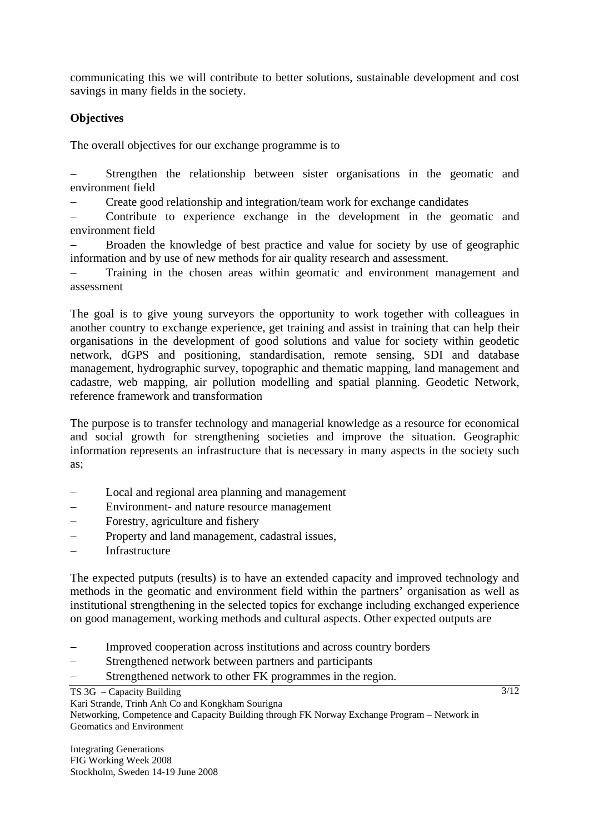communicating this we will contribute to better solutions, sustainable development and cost savings in many fields in the society.

# **Objectives**

The overall objectives for our exchange programme is to

Strengthen the relationship between sister organisations in the geomatic and environment field

− Create good relationship and integration/team work for exchange candidates

− Contribute to experience exchange in the development in the geomatic and environment field

Broaden the knowledge of best practice and value for society by use of geographic information and by use of new methods for air quality research and assessment.

Training in the chosen areas within geomatic and environment management and assessment

The goal is to give young surveyors the opportunity to work together with colleagues in another country to exchange experience, get training and assist in training that can help their organisations in the development of good solutions and value for society within geodetic network, dGPS and positioning, standardisation, remote sensing, SDI and database management, hydrographic survey, topographic and thematic mapping, land management and cadastre, web mapping, air pollution modelling and spatial planning. Geodetic Network, reference framework and transformation

The purpose is to transfer technology and managerial knowledge as a resource for economical and social growth for strengthening societies and improve the situation. Geographic information represents an infrastructure that is necessary in many aspects in the society such as;

- Local and regional area planning and management
- − Environment- and nature resource management
- Forestry, agriculture and fishery
- − Property and land management, cadastral issues,
- − Infrastructure

The expected putputs (results) is to have an extended capacity and improved technology and methods in the geomatic and environment field within the partners' organisation as well as institutional strengthening in the selected topics for exchange including exchanged experience on good management, working methods and cultural aspects. Other expected outputs are

- Improved cooperation across institutions and across country borders
- Strengthened network between partners and participants
- Strengthened network to other FK programmes in the region.

TS 3G – Capacity Building

Kari Strande, Trinh Anh Co and Kongkham Sourigna

Networking, Competence and Capacity Building through FK Norway Exchange Program – Network in Geomatics and Environment

Integrating Generations FIG Working Week 2008 Stockholm, Sweden 14-19 June 2008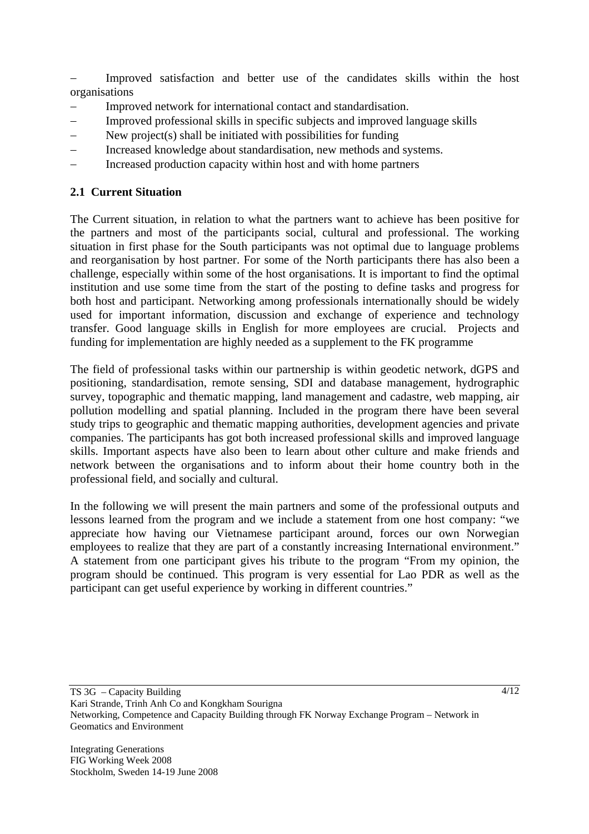Improved satisfaction and better use of the candidates skills within the host organisations

- − Improved network for international contact and standardisation.
- − Improved professional skills in specific subjects and improved language skills
- − New project(s) shall be initiated with possibilities for funding
- Increased knowledge about standardisation, new methods and systems.
- Increased production capacity within host and with home partners

## **2.1 Current Situation**

The Current situation, in relation to what the partners want to achieve has been positive for the partners and most of the participants social, cultural and professional. The working situation in first phase for the South participants was not optimal due to language problems and reorganisation by host partner. For some of the North participants there has also been a challenge, especially within some of the host organisations. It is important to find the optimal institution and use some time from the start of the posting to define tasks and progress for both host and participant. Networking among professionals internationally should be widely used for important information, discussion and exchange of experience and technology transfer. Good language skills in English for more employees are crucial. Projects and funding for implementation are highly needed as a supplement to the FK programme

The field of professional tasks within our partnership is within geodetic network, dGPS and positioning, standardisation, remote sensing, SDI and database management, hydrographic survey, topographic and thematic mapping, land management and cadastre, web mapping, air pollution modelling and spatial planning. Included in the program there have been several study trips to geographic and thematic mapping authorities, development agencies and private companies. The participants has got both increased professional skills and improved language skills. Important aspects have also been to learn about other culture and make friends and network between the organisations and to inform about their home country both in the professional field, and socially and cultural.

In the following we will present the main partners and some of the professional outputs and lessons learned from the program and we include a statement from one host company: "we appreciate how having our Vietnamese participant around, forces our own Norwegian employees to realize that they are part of a constantly increasing International environment." A statement from one participant gives his tribute to the program "From my opinion, the program should be continued. This program is very essential for Lao PDR as well as the participant can get useful experience by working in different countries."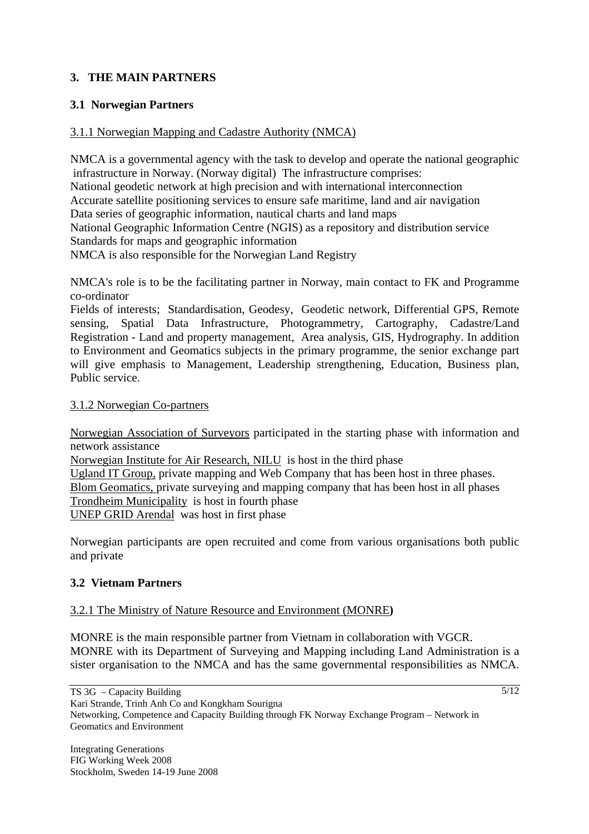# **3. THE MAIN PARTNERS**

# **3.1 Norwegian Partners**

### 3.1.1 Norwegian Mapping and Cadastre Authority (NMCA)

NMCA is a governmental agency with the task to develop and operate the national geographic infrastructure in Norway. (Norway digital) The infrastructure comprises: National geodetic network at high precision and with international interconnection Accurate satellite positioning services to ensure safe maritime, land and air navigation Data series of geographic information, nautical charts and land maps National Geographic Information Centre (NGIS) as a repository and distribution service Standards for maps and geographic information NMCA is also responsible for the Norwegian Land Registry

NMCA's role is to be the facilitating partner in Norway, main contact to FK and Programme co-ordinator

Fields of interests; Standardisation, Geodesy, Geodetic network, Differential GPS, Remote sensing, Spatial Data Infrastructure, Photogrammetry, Cartography, Cadastre/Land Registration - Land and property management, Area analysis, GIS, Hydrography. In addition to Environment and Geomatics subjects in the primary programme, the senior exchange part will give emphasis to Management, Leadership strengthening, Education, Business plan, Public service.

#### 3.1.2 Norwegian Co-partners

Norwegian Association of Surveyors participated in the starting phase with information and network assistance

Norwegian Institute for Air Research, NILU is host in the third phase

Ugland IT Group, private mapping and Web Company that has been host in three phases. Blom Geomatics, private surveying and mapping company that has been host in all phases Trondheim Municipality is host in fourth phase UNEP GRID Arendal was host in first phase

Norwegian participants are open recruited and come from various organisations both public and private

### **3.2 Vietnam Partners**

#### 3.2.1 The Ministry of Nature Resource and Environment (MONRE**)**

MONRE is the main responsible partner from Vietnam in collaboration with VGCR. MONRE with its Department of Surveying and Mapping including Land Administration is a sister organisation to the NMCA and has the same governmental responsibilities as NMCA.

TS 3G – Capacity Building Kari Strande, Trinh Anh Co and Kongkham Sourigna Networking, Competence and Capacity Building through FK Norway Exchange Program – Network in Geomatics and Environment

 $\sqrt{5/12}$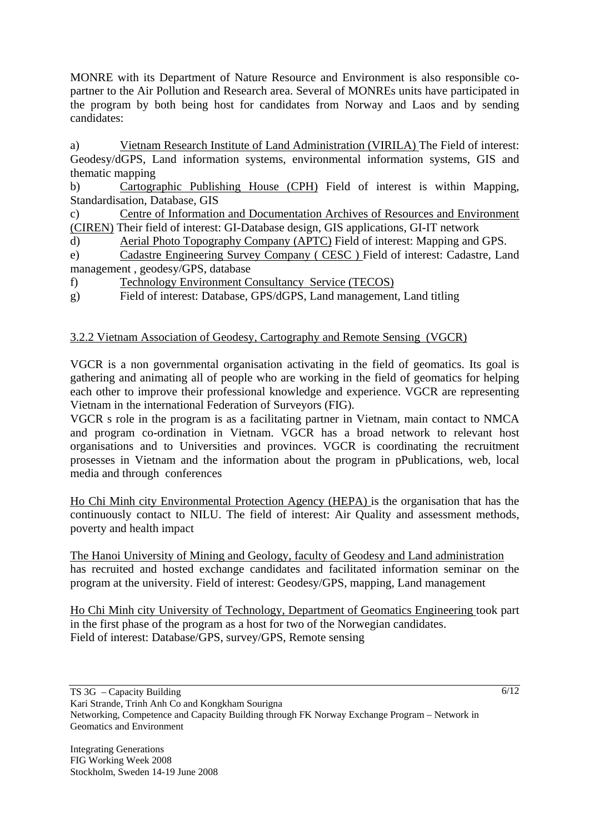MONRE with its Department of Nature Resource and Environment is also responsible copartner to the Air Pollution and Research area. Several of MONREs units have participated in the program by both being host for candidates from Norway and Laos and by sending candidates:

a) Vietnam Research Institute of Land Administration (VIRILA) The Field of interest: Geodesy/dGPS, Land information systems, environmental information systems, GIS and thematic mapping

b) Cartographic Publishing House (CPH) Field of interest is within Mapping, Standardisation, Database, GIS

c) Centre of Information and Documentation Archives of Resources and Environment (CIREN) Their field of interest: GI-Database design, GIS applications, GI-IT network

d) Aerial Photo Topography Company (APTC) Field of interest: Mapping and GPS.

e) Cadastre Engineering Survey Company ( CESC ) Field of interest: Cadastre, Land management , geodesy/GPS, database

f) Technology Environment Consultancy Service (TECOS)

g) Field of interest: Database, GPS/dGPS, Land management, Land titling

# 3.2.2 Vietnam Association of Geodesy, Cartography and Remote Sensing (VGCR)

VGCR is a non governmental organisation activating in the field of geomatics. Its goal is gathering and animating all of people who are working in the field of geomatics for helping each other to improve their professional knowledge and experience. VGCR are representing Vietnam in the international Federation of Surveyors (FIG).

VGCR s role in the program is as a facilitating partner in Vietnam, main contact to NMCA and program co-ordination in Vietnam. VGCR has a broad network to relevant host organisations and to Universities and provinces. VGCR is coordinating the recruitment prosesses in Vietnam and the information about the program in pPublications, web, local media and through conferences

Ho Chi Minh city Environmental Protection Agency (HEPA) is the organisation that has the continuously contact to NILU. The field of interest: Air Quality and assessment methods, poverty and health impact

The Hanoi University of Mining and Geology, faculty of Geodesy and Land administration has recruited and hosted exchange candidates and facilitated information seminar on the program at the university. Field of interest: Geodesy/GPS, mapping, Land management

Ho Chi Minh city University of Technology, Department of Geomatics Engineering took part in the first phase of the program as a host for two of the Norwegian candidates. Field of interest: Database/GPS, survey/GPS, Remote sensing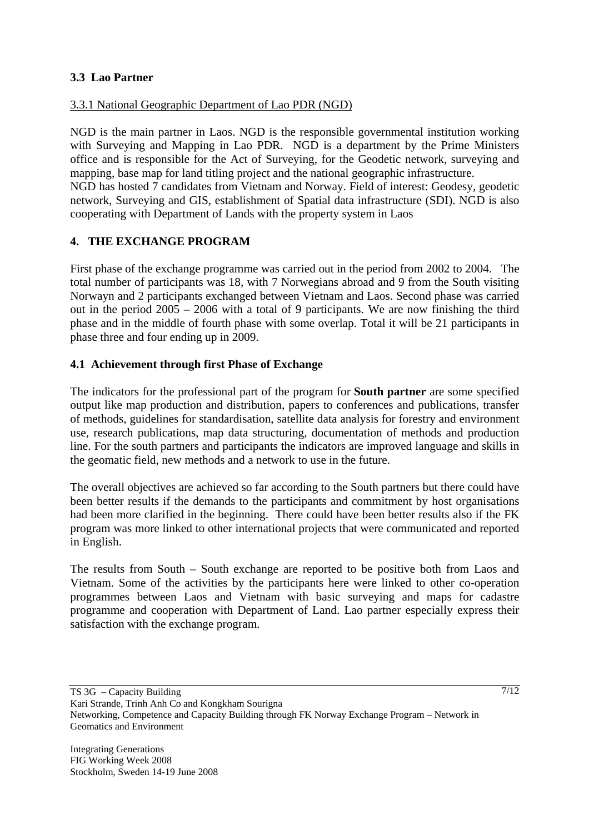## **3.3 Lao Partner**

## 3.3.1 National Geographic Department of Lao PDR (NGD)

NGD is the main partner in Laos. NGD is the responsible governmental institution working with Surveying and Mapping in Lao PDR. NGD is a department by the Prime Ministers office and is responsible for the Act of Surveying, for the Geodetic network, surveying and mapping, base map for land titling project and the national geographic infrastructure.

NGD has hosted 7 candidates from Vietnam and Norway. Field of interest: Geodesy, geodetic network, Surveying and GIS, establishment of Spatial data infrastructure (SDI). NGD is also cooperating with Department of Lands with the property system in Laos

# **4. THE EXCHANGE PROGRAM**

First phase of the exchange programme was carried out in the period from 2002 to 2004. The total number of participants was 18, with 7 Norwegians abroad and 9 from the South visiting Norwayn and 2 participants exchanged between Vietnam and Laos. Second phase was carried out in the period 2005 – 2006 with a total of 9 participants. We are now finishing the third phase and in the middle of fourth phase with some overlap. Total it will be 21 participants in phase three and four ending up in 2009.

# **4.1 Achievement through first Phase of Exchange**

The indicators for the professional part of the program for **South partner** are some specified output like map production and distribution, papers to conferences and publications, transfer of methods, guidelines for standardisation, satellite data analysis for forestry and environment use, research publications, map data structuring, documentation of methods and production line. For the south partners and participants the indicators are improved language and skills in the geomatic field, new methods and a network to use in the future.

The overall objectives are achieved so far according to the South partners but there could have been better results if the demands to the participants and commitment by host organisations had been more clarified in the beginning. There could have been better results also if the FK program was more linked to other international projects that were communicated and reported in English.

The results from South – South exchange are reported to be positive both from Laos and Vietnam. Some of the activities by the participants here were linked to other co-operation programmes between Laos and Vietnam with basic surveying and maps for cadastre programme and cooperation with Department of Land. Lao partner especially express their satisfaction with the exchange program.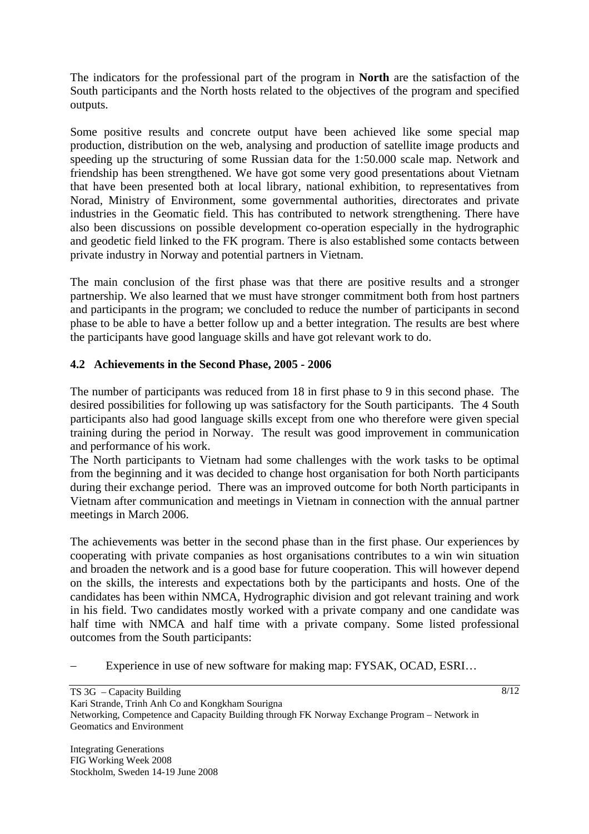The indicators for the professional part of the program in **North** are the satisfaction of the South participants and the North hosts related to the objectives of the program and specified outputs.

Some positive results and concrete output have been achieved like some special map production, distribution on the web, analysing and production of satellite image products and speeding up the structuring of some Russian data for the 1:50.000 scale map. Network and friendship has been strengthened. We have got some very good presentations about Vietnam that have been presented both at local library, national exhibition, to representatives from Norad, Ministry of Environment, some governmental authorities, directorates and private industries in the Geomatic field. This has contributed to network strengthening. There have also been discussions on possible development co-operation especially in the hydrographic and geodetic field linked to the FK program. There is also established some contacts between private industry in Norway and potential partners in Vietnam.

The main conclusion of the first phase was that there are positive results and a stronger partnership. We also learned that we must have stronger commitment both from host partners and participants in the program; we concluded to reduce the number of participants in second phase to be able to have a better follow up and a better integration. The results are best where the participants have good language skills and have got relevant work to do.

# **4.2 Achievements in the Second Phase, 2005 - 2006**

The number of participants was reduced from 18 in first phase to 9 in this second phase. The desired possibilities for following up was satisfactory for the South participants. The 4 South participants also had good language skills except from one who therefore were given special training during the period in Norway. The result was good improvement in communication and performance of his work.

The North participants to Vietnam had some challenges with the work tasks to be optimal from the beginning and it was decided to change host organisation for both North participants during their exchange period. There was an improved outcome for both North participants in Vietnam after communication and meetings in Vietnam in connection with the annual partner meetings in March 2006.

The achievements was better in the second phase than in the first phase. Our experiences by cooperating with private companies as host organisations contributes to a win win situation and broaden the network and is a good base for future cooperation. This will however depend on the skills, the interests and expectations both by the participants and hosts. One of the candidates has been within NMCA, Hydrographic division and got relevant training and work in his field. Two candidates mostly worked with a private company and one candidate was half time with NMCA and half time with a private company. Some listed professional outcomes from the South participants:

Experience in use of new software for making map: FYSAK, OCAD, ESRI…

TS 3G – Capacity Building Kari Strande, Trinh Anh Co and Kongkham Sourigna Networking, Competence and Capacity Building through FK Norway Exchange Program – Network in Geomatics and Environment

Integrating Generations FIG Working Week 2008 Stockholm, Sweden 14-19 June 2008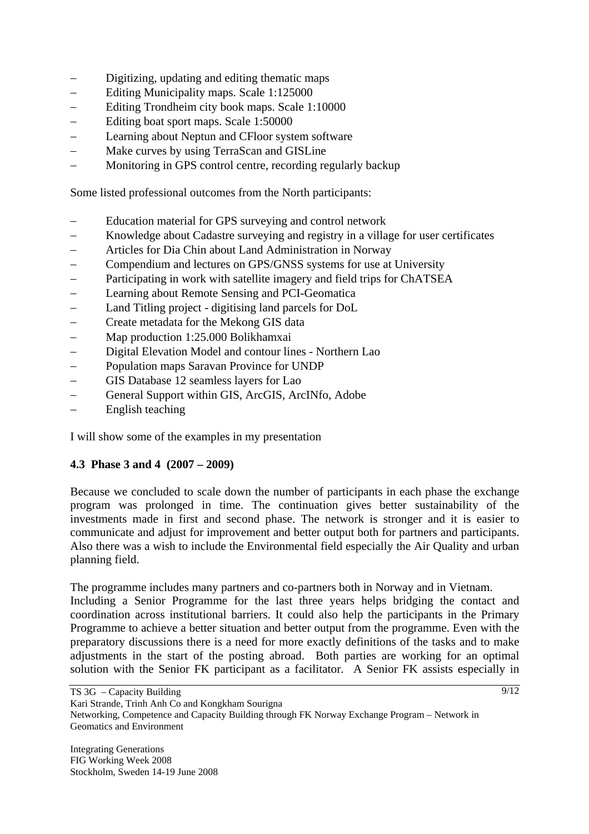- Digitizing, updating and editing thematic maps
- − Editing Municipality maps. Scale 1:125000
- − Editing Trondheim city book maps. Scale 1:10000
- − Editing boat sport maps. Scale 1:50000
- − Learning about Neptun and CFloor system software
- Make curves by using TerraScan and GISLine
- − Monitoring in GPS control centre, recording regularly backup

Some listed professional outcomes from the North participants:

- Education material for GPS surveying and control network
- − Knowledge about Cadastre surveying and registry in a village for user certificates
- − Articles for Dia Chin about Land Administration in Norway
- Compendium and lectures on GPS/GNSS systems for use at University
- − Participating in work with satellite imagery and field trips for ChATSEA
- − Learning about Remote Sensing and PCI-Geomatica
- − Land Titling project digitising land parcels for DoL
- − Create metadata for the Mekong GIS data
- − Map production 1:25.000 Bolikhamxai
- − Digital Elevation Model and contour lines Northern Lao
- − Population maps Saravan Province for UNDP
- − GIS Database 12 seamless layers for Lao
- General Support within GIS, ArcGIS, ArcINfo, Adobe
- English teaching

I will show some of the examples in my presentation

### **4.3 Phase 3 and 4 (2007 – 2009)**

Because we concluded to scale down the number of participants in each phase the exchange program was prolonged in time. The continuation gives better sustainability of the investments made in first and second phase. The network is stronger and it is easier to communicate and adjust for improvement and better output both for partners and participants. Also there was a wish to include the Environmental field especially the Air Quality and urban planning field.

The programme includes many partners and co-partners both in Norway and in Vietnam. Including a Senior Programme for the last three years helps bridging the contact and coordination across institutional barriers. It could also help the participants in the Primary Programme to achieve a better situation and better output from the programme. Even with the preparatory discussions there is a need for more exactly definitions of the tasks and to make adjustments in the start of the posting abroad. Both parties are working for an optimal solution with the Senior FK participant as a facilitator. A Senior FK assists especially in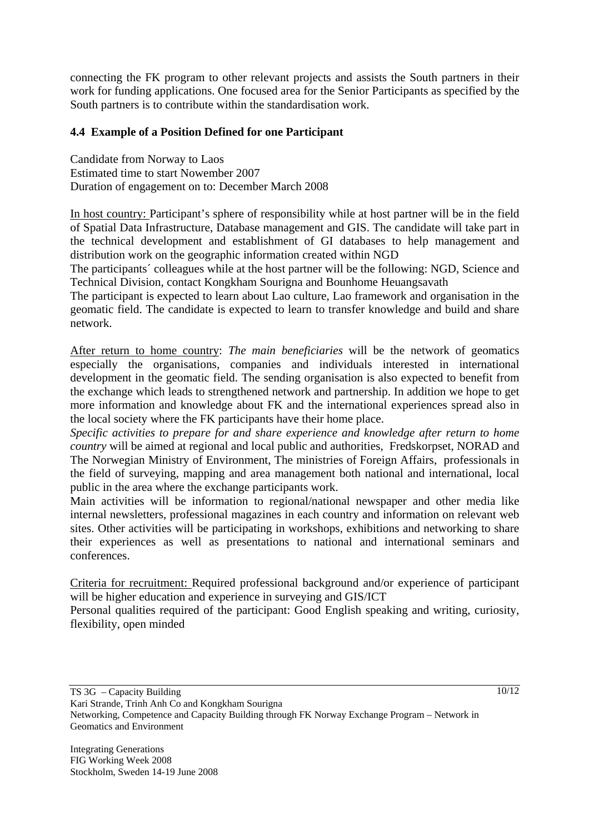connecting the FK program to other relevant projects and assists the South partners in their work for funding applications. One focused area for the Senior Participants as specified by the South partners is to contribute within the standardisation work.

## **4.4 Example of a Position Defined for one Participant**

Candidate from Norway to Laos Estimated time to start Nowember 2007 Duration of engagement on to: December March 2008

In host country: Participant's sphere of responsibility while at host partner will be in the field of Spatial Data Infrastructure, Database management and GIS. The candidate will take part in the technical development and establishment of GI databases to help management and distribution work on the geographic information created within NGD

The participants´ colleagues while at the host partner will be the following: NGD, Science and Technical Division, contact Kongkham Sourigna and Bounhome Heuangsavath

The participant is expected to learn about Lao culture, Lao framework and organisation in the geomatic field. The candidate is expected to learn to transfer knowledge and build and share network.

After return to home country: *The main beneficiaries* will be the network of geomatics especially the organisations, companies and individuals interested in international development in the geomatic field. The sending organisation is also expected to benefit from the exchange which leads to strengthened network and partnership. In addition we hope to get more information and knowledge about FK and the international experiences spread also in the local society where the FK participants have their home place.

*Specific activities to prepare for and share experience and knowledge after return to home country* will be aimed at regional and local public and authorities, Fredskorpset, NORAD and The Norwegian Ministry of Environment, The ministries of Foreign Affairs, professionals in the field of surveying, mapping and area management both national and international, local public in the area where the exchange participants work.

Main activities will be information to regional/national newspaper and other media like internal newsletters, professional magazines in each country and information on relevant web sites. Other activities will be participating in workshops, exhibitions and networking to share their experiences as well as presentations to national and international seminars and conferences.

Criteria for recruitment: Required professional background and/or experience of participant will be higher education and experience in surveying and GIS/ICT

Personal qualities required of the participant: Good English speaking and writing, curiosity, flexibility, open minded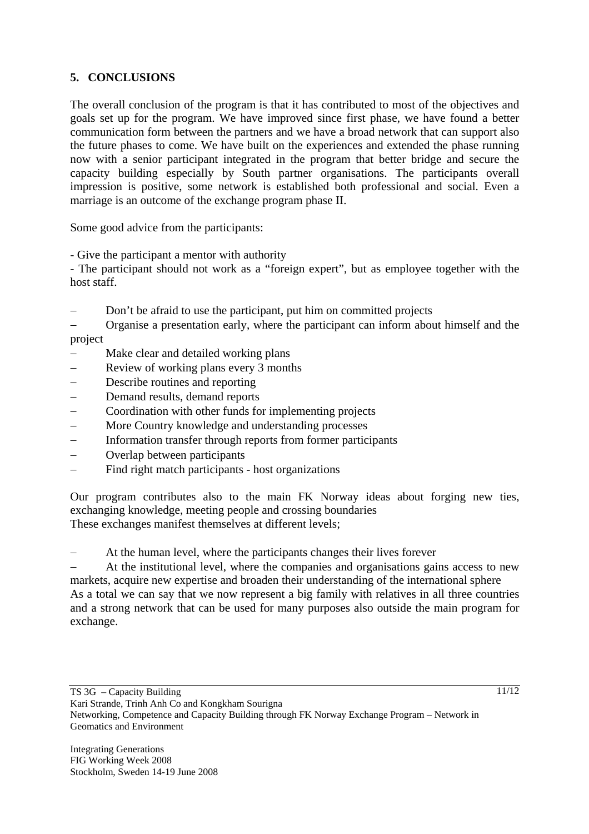# **5. CONCLUSIONS**

The overall conclusion of the program is that it has contributed to most of the objectives and goals set up for the program. We have improved since first phase, we have found a better communication form between the partners and we have a broad network that can support also the future phases to come. We have built on the experiences and extended the phase running now with a senior participant integrated in the program that better bridge and secure the capacity building especially by South partner organisations. The participants overall impression is positive, some network is established both professional and social. Even a marriage is an outcome of the exchange program phase II.

Some good advice from the participants:

- Give the participant a mentor with authority

- The participant should not work as a "foreign expert", but as employee together with the host staff.

Don't be afraid to use the participant, put him on committed projects

− Organise a presentation early, where the participant can inform about himself and the project

- Make clear and detailed working plans
- Review of working plans every 3 months
- − Describe routines and reporting
- − Demand results, demand reports
- − Coordination with other funds for implementing projects
- − More Country knowledge and understanding processes
- − Information transfer through reports from former participants
- Overlap between participants
- − Find right match participants host organizations

Our program contributes also to the main FK Norway ideas about forging new ties, exchanging knowledge, meeting people and crossing boundaries These exchanges manifest themselves at different levels;

At the human level, where the participants changes their lives forever

At the institutional level, where the companies and organisations gains access to new markets, acquire new expertise and broaden their understanding of the international sphere As a total we can say that we now represent a big family with relatives in all three countries and a strong network that can be used for many purposes also outside the main program for exchange.